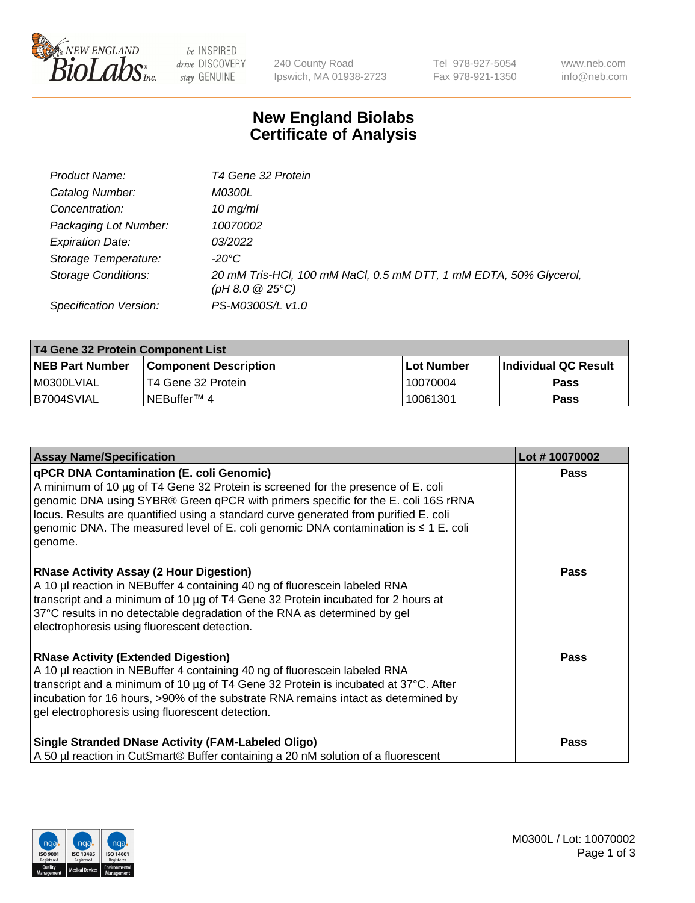

 $be$  INSPIRED drive DISCOVERY stay GENUINE

240 County Road Ipswich, MA 01938-2723 Tel 978-927-5054 Fax 978-921-1350 www.neb.com info@neb.com

## **New England Biolabs Certificate of Analysis**

| Product Name:              | T4 Gene 32 Protein                                                                     |
|----------------------------|----------------------------------------------------------------------------------------|
| Catalog Number:            | <i>M0300L</i>                                                                          |
| Concentration:             | $10 \, \text{mg/ml}$                                                                   |
| Packaging Lot Number:      | 10070002                                                                               |
| <b>Expiration Date:</b>    | 03/2022                                                                                |
| Storage Temperature:       | -20°C                                                                                  |
| <b>Storage Conditions:</b> | 20 mM Tris-HCl, 100 mM NaCl, 0.5 mM DTT, 1 mM EDTA, 50% Glycerol,<br>(pH 8.0 $@25°C$ ) |
| Specification Version:     | PS-M0300S/L v1.0                                                                       |

| T4 Gene 32 Protein Component List |                              |            |                       |  |  |
|-----------------------------------|------------------------------|------------|-----------------------|--|--|
| <b>NEB Part Number</b>            | <b>Component Description</b> | Lot Number | ∣Individual QC Result |  |  |
| I M0300LVIAL                      | T4 Gene 32 Protein           | 10070004   | <b>Pass</b>           |  |  |
| B7004SVIAL                        | INEBuffer™ 4                 | 10061301   | Pass                  |  |  |

| <b>Assay Name/Specification</b>                                                                                                                                                                                                                                                                                                                                                                                         | Lot #10070002 |
|-------------------------------------------------------------------------------------------------------------------------------------------------------------------------------------------------------------------------------------------------------------------------------------------------------------------------------------------------------------------------------------------------------------------------|---------------|
| <b>qPCR DNA Contamination (E. coli Genomic)</b><br>A minimum of 10 µg of T4 Gene 32 Protein is screened for the presence of E. coli<br>genomic DNA using SYBR® Green qPCR with primers specific for the E. coli 16S rRNA<br>locus. Results are quantified using a standard curve generated from purified E. coli<br>genomic DNA. The measured level of E. coli genomic DNA contamination is $\leq 1$ E. coli<br>genome. | <b>Pass</b>   |
| <b>RNase Activity Assay (2 Hour Digestion)</b><br>A 10 µl reaction in NEBuffer 4 containing 40 ng of fluorescein labeled RNA<br>transcript and a minimum of 10 µg of T4 Gene 32 Protein incubated for 2 hours at<br>37°C results in no detectable degradation of the RNA as determined by gel<br>electrophoresis using fluorescent detection.                                                                           | <b>Pass</b>   |
| <b>RNase Activity (Extended Digestion)</b><br>A 10 µl reaction in NEBuffer 4 containing 40 ng of fluorescein labeled RNA<br>transcript and a minimum of 10 µg of T4 Gene 32 Protein is incubated at 37°C. After<br>incubation for 16 hours, >90% of the substrate RNA remains intact as determined by<br>gel electrophoresis using fluorescent detection.                                                               | <b>Pass</b>   |
| <b>Single Stranded DNase Activity (FAM-Labeled Oligo)</b><br>A 50 µl reaction in CutSmart® Buffer containing a 20 nM solution of a fluorescent                                                                                                                                                                                                                                                                          | <b>Pass</b>   |

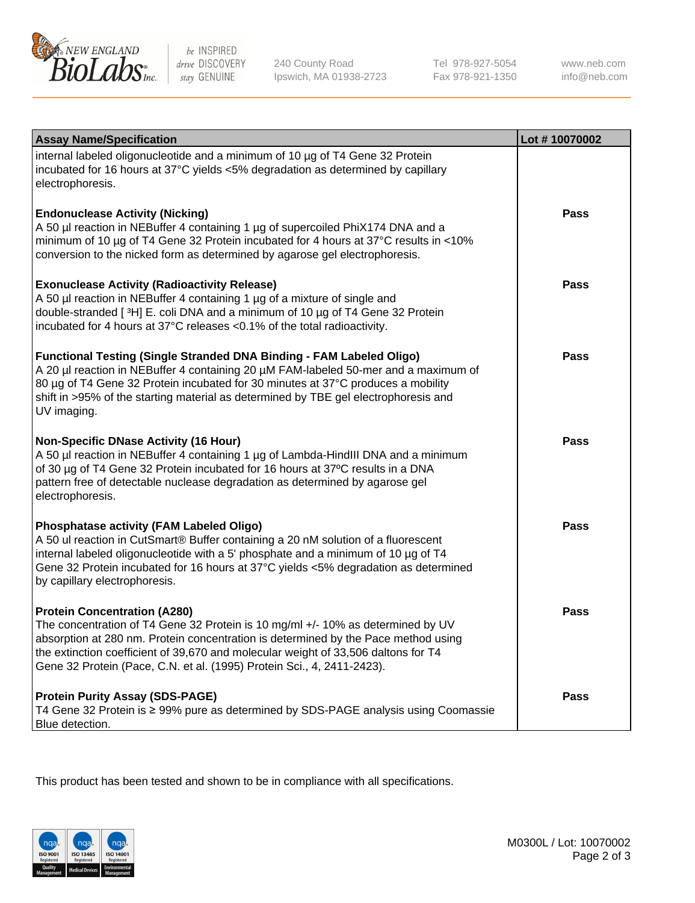

be INSPIRED drive DISCOVERY stay GENUINE

240 County Road Ipswich, MA 01938-2723 Tel 978-927-5054 Fax 978-921-1350 www.neb.com info@neb.com

| <b>Assay Name/Specification</b>                                                                                                                                                                                                                                                                                                                                              | Lot #10070002 |
|------------------------------------------------------------------------------------------------------------------------------------------------------------------------------------------------------------------------------------------------------------------------------------------------------------------------------------------------------------------------------|---------------|
| internal labeled oligonucleotide and a minimum of 10 µg of T4 Gene 32 Protein<br>incubated for 16 hours at 37°C yields <5% degradation as determined by capillary<br>electrophoresis.                                                                                                                                                                                        |               |
| <b>Endonuclease Activity (Nicking)</b><br>A 50 µl reaction in NEBuffer 4 containing 1 µg of supercoiled PhiX174 DNA and a<br>minimum of 10 µg of T4 Gene 32 Protein incubated for 4 hours at 37°C results in <10%<br>conversion to the nicked form as determined by agarose gel electrophoresis.                                                                             | <b>Pass</b>   |
| <b>Exonuclease Activity (Radioactivity Release)</b><br>A 50 µl reaction in NEBuffer 4 containing 1 µg of a mixture of single and<br>double-stranded [3H] E. coli DNA and a minimum of 10 µg of T4 Gene 32 Protein<br>incubated for 4 hours at 37°C releases <0.1% of the total radioactivity.                                                                                | Pass          |
| <b>Functional Testing (Single Stranded DNA Binding - FAM Labeled Oligo)</b><br>A 20 µl reaction in NEBuffer 4 containing 20 µM FAM-labeled 50-mer and a maximum of<br>80 µg of T4 Gene 32 Protein incubated for 30 minutes at 37°C produces a mobility<br>shift in >95% of the starting material as determined by TBE gel electrophoresis and<br>UV imaging.                 | <b>Pass</b>   |
| <b>Non-Specific DNase Activity (16 Hour)</b><br>A 50 µl reaction in NEBuffer 4 containing 1 µg of Lambda-HindIII DNA and a minimum<br>of 30 µg of T4 Gene 32 Protein incubated for 16 hours at 37°C results in a DNA<br>pattern free of detectable nuclease degradation as determined by agarose gel<br>electrophoresis.                                                     | <b>Pass</b>   |
| Phosphatase activity (FAM Labeled Oligo)<br>A 50 ul reaction in CutSmart® Buffer containing a 20 nM solution of a fluorescent<br>internal labeled oligonucleotide with a 5' phosphate and a minimum of 10 µg of T4<br>Gene 32 Protein incubated for 16 hours at 37°C yields <5% degradation as determined<br>by capillary electrophoresis.                                   | <b>Pass</b>   |
| <b>Protein Concentration (A280)</b><br>The concentration of T4 Gene 32 Protein is 10 mg/ml +/- 10% as determined by UV<br>absorption at 280 nm. Protein concentration is determined by the Pace method using<br>the extinction coefficient of 39,670 and molecular weight of 33,506 daltons for T4<br>Gene 32 Protein (Pace, C.N. et al. (1995) Protein Sci., 4, 2411-2423). | <b>Pass</b>   |
| <b>Protein Purity Assay (SDS-PAGE)</b><br>T4 Gene 32 Protein is ≥ 99% pure as determined by SDS-PAGE analysis using Coomassie<br>Blue detection.                                                                                                                                                                                                                             | <b>Pass</b>   |

This product has been tested and shown to be in compliance with all specifications.